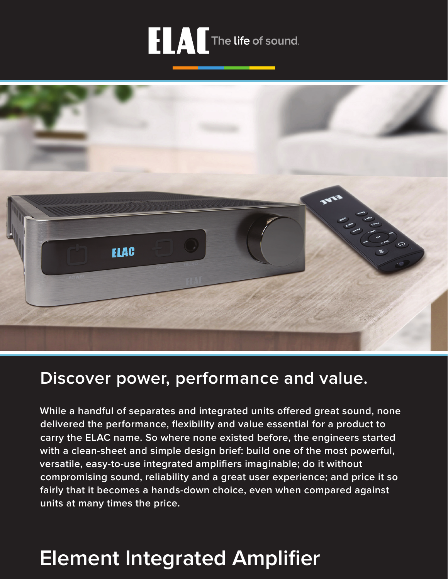



# **Discover power, performance and value.**

**While a handful of separates and integrated units offered great sound, none delivered the performance, flexibility and value essential for a product to carry the ELAC name. So where none existed before, the engineers started with a clean-sheet and simple design brief: build one of the most powerful, versatile, easy-to-use integrated amplifiers imaginable; do it without compromising sound, reliability and a great user experience; and price it so fairly that it becomes a hands-down choice, even when compared against units at many times the price.**

# **Element Integrated Amplifier**